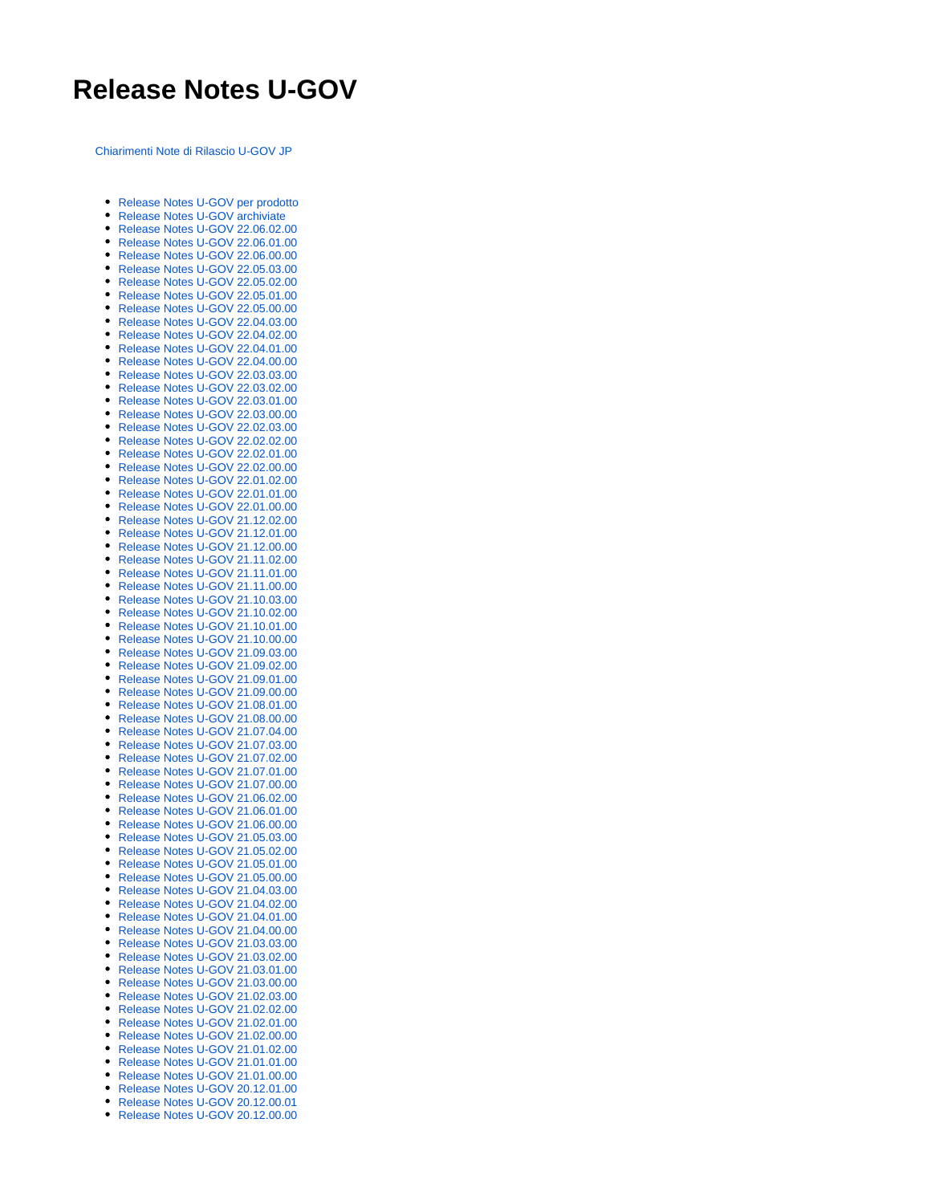## **Release Notes U-GOV**

[Chiarimenti Note di Rilascio U-GOV JP](https://wiki.u-gov.it/confluence/download/attachments/64193514/Chiarimenti%20Note%20di%20rilascio%20U-GOV.docx?version=4&modificationDate=1529421420000&api=v2)

- [Release Notes U-GOV per prodotto](https://wiki.u-gov.it/confluence/display/UGOV/Release+Notes+U-GOV+per+prodotto)
- [Release Notes U-GOV archiviate](https://wiki.u-gov.it/confluence/display/UGOV/Release+Notes+U-GOV+archiviate) [Release Notes U-GOV 22.06.02.00](https://wiki.u-gov.it/confluence/display/UGOV/Release+Notes+U-GOV+22.06.02.00)
- [Release Notes U-GOV 22.06.01.00](https://wiki.u-gov.it/confluence/display/UGOV/Release+Notes+U-GOV+22.06.01.00)
- [Release Notes U-GOV 22.06.00.00](https://wiki.u-gov.it/confluence/display/UGOV/Release+Notes+U-GOV+22.06.00.00)
- [Release Notes U-GOV 22.05.03.00](https://wiki.u-gov.it/confluence/display/UGOV/Release+Notes+U-GOV+22.05.03.00)
- [Release Notes U-GOV 22.05.02.00](https://wiki.u-gov.it/confluence/display/UGOV/Release+Notes+U-GOV+22.05.02.00)
- [Release Notes U-GOV 22.05.01.00](https://wiki.u-gov.it/confluence/display/UGOV/Release+Notes+U-GOV+22.05.01.00)
- [Release Notes U-GOV 22.05.00.00](https://wiki.u-gov.it/confluence/display/UGOV/Release+Notes+U-GOV+22.05.00.00)
- [Release Notes U-GOV 22.04.03.00](https://wiki.u-gov.it/confluence/display/UGOV/Release+Notes+U-GOV+22.04.03.00)
- [Release Notes U-GOV 22.04.02.00](https://wiki.u-gov.it/confluence/display/UGOV/Release+Notes+U-GOV+22.04.02.00)
- [Release Notes U-GOV 22.04.01.00](https://wiki.u-gov.it/confluence/display/UGOV/Release+Notes+U-GOV+22.04.01.00)
- [Release Notes U-GOV 22.04.00.00](https://wiki.u-gov.it/confluence/display/UGOV/Release+Notes+U-GOV+22.04.00.00)  $\bullet$
- [Release Notes U-GOV 22.03.03.00](https://wiki.u-gov.it/confluence/display/UGOV/Release+Notes+U-GOV+22.03.03.00)
- [Release Notes U-GOV 22.03.02.00](https://wiki.u-gov.it/confluence/display/UGOV/Release+Notes+U-GOV+22.03.02.00)
- [Release Notes U-GOV 22.03.01.00](https://wiki.u-gov.it/confluence/display/UGOV/Release+Notes+U-GOV+22.03.01.00)  $\bullet$
- [Release Notes U-GOV 22.03.00.00](https://wiki.u-gov.it/confluence/display/UGOV/Release+Notes+U-GOV+22.03.00.00)
- [Release Notes U-GOV 22.02.03.00](https://wiki.u-gov.it/confluence/display/UGOV/Release+Notes+U-GOV+22.02.03.00)
- [Release Notes U-GOV 22.02.02.00](https://wiki.u-gov.it/confluence/display/UGOV/Release+Notes+U-GOV+22.02.02.00)
- [Release Notes U-GOV 22.02.01.00](https://wiki.u-gov.it/confluence/display/UGOV/Release+Notes+U-GOV+22.02.01.00)
- [Release Notes U-GOV 22.02.00.00](https://wiki.u-gov.it/confluence/display/UGOV/Release+Notes+U-GOV+22.02.00.00)
- [Release Notes U-GOV 22.01.02.00](https://wiki.u-gov.it/confluence/display/UGOV/Release+Notes+U-GOV+22.01.02.00)
- [Release Notes U-GOV 22.01.01.00](https://wiki.u-gov.it/confluence/display/UGOV/Release+Notes+U-GOV+22.01.01.00) [Release Notes U-GOV 22.01.00.00](https://wiki.u-gov.it/confluence/display/UGOV/Release+Notes+U-GOV+22.01.00.00)
- 
- [Release Notes U-GOV 21.12.02.00](https://wiki.u-gov.it/confluence/display/UGOV/Release+Notes+U-GOV+21.12.02.00) [Release Notes U-GOV 21.12.01.00](https://wiki.u-gov.it/confluence/display/UGOV/Release+Notes+U-GOV+21.12.01.00)
- [Release Notes U-GOV 21.12.00.00](https://wiki.u-gov.it/confluence/display/UGOV/Release+Notes+U-GOV+21.12.00.00)
- [Release Notes U-GOV 21.11.02.00](https://wiki.u-gov.it/confluence/display/UGOV/Release+Notes+U-GOV+21.11.02.00)
- [Release Notes U-GOV 21.11.01.00](https://wiki.u-gov.it/confluence/display/UGOV/Release+Notes+U-GOV+21.11.01.00)
- [Release Notes U-GOV 21.11.00.00](https://wiki.u-gov.it/confluence/display/UGOV/Release+Notes+U-GOV+21.11.00.00)
- [Release Notes U-GOV 21.10.03.00](https://wiki.u-gov.it/confluence/display/UGOV/Release+Notes+U-GOV+21.10.03.00)
- [Release Notes U-GOV 21.10.02.00](https://wiki.u-gov.it/confluence/display/UGOV/Release+Notes+U-GOV+21.10.02.00)
- [Release Notes U-GOV 21.10.01.00](https://wiki.u-gov.it/confluence/display/UGOV/Release+Notes+U-GOV+21.10.01.00)  $\bullet$
- [Release Notes U-GOV 21.10.00.00](https://wiki.u-gov.it/confluence/display/UGOV/Release+Notes+U-GOV+21.10.00.00)
- [Release Notes U-GOV 21.09.03.00](https://wiki.u-gov.it/confluence/display/UGOV/Release+Notes+U-GOV+21.09.03.00)
- [Release Notes U-GOV 21.09.02.00](https://wiki.u-gov.it/confluence/display/UGOV/Release+Notes+U-GOV+21.09.02.00)
- [Release Notes U-GOV 21.09.01.00](https://wiki.u-gov.it/confluence/display/UGOV/Release+Notes+U-GOV+21.09.01.00)
- [Release Notes U-GOV 21.09.00.00](https://wiki.u-gov.it/confluence/display/UGOV/Release+Notes+U-GOV+21.09.00.00)
- [Release Notes U-GOV 21.08.01.00](https://wiki.u-gov.it/confluence/display/UGOV/Release+Notes+U-GOV+21.08.01.00)
- [Release Notes U-GOV 21.08.00.00](https://wiki.u-gov.it/confluence/display/UGOV/Release+Notes+U-GOV+21.08.00.00) [Release Notes U-GOV 21.07.04.00](https://wiki.u-gov.it/confluence/display/UGOV/Release+Notes+U-GOV+21.07.04.00)
- 
- [Release Notes U-GOV 21.07.03.00](https://wiki.u-gov.it/confluence/display/UGOV/Release+Notes+U-GOV+21.07.03.00)  $\bullet$ [Release Notes U-GOV 21.07.02.00](https://wiki.u-gov.it/confluence/display/UGOV/Release+Notes+U-GOV+21.07.02.00)
- [Release Notes U-GOV 21.07.01.00](https://wiki.u-gov.it/confluence/display/UGOV/Release+Notes+U-GOV+21.07.01.00)
- [Release Notes U-GOV 21.07.00.00](https://wiki.u-gov.it/confluence/display/UGOV/Release+Notes+U-GOV+21.07.00.00)
- $\bullet$ [Release Notes U-GOV 21.06.02.00](https://wiki.u-gov.it/confluence/display/UGOV/Release+Notes+U-GOV+21.06.02.00)
- [Release Notes U-GOV 21.06.01.00](https://wiki.u-gov.it/confluence/display/UGOV/Release+Notes+U-GOV+21.06.01.00)
- [Release Notes U-GOV 21.06.00.00](https://wiki.u-gov.it/confluence/display/UGOV/Release+Notes+U-GOV+21.06.00.00)
- [Release Notes U-GOV 21.05.03.00](https://wiki.u-gov.it/confluence/display/UGOV/Release+Notes+U-GOV+21.05.03.00)
- [Release Notes U-GOV 21.05.02.00](https://wiki.u-gov.it/confluence/display/UGOV/Release+Notes+U-GOV+21.05.02.00)  $\bullet$
- [Release Notes U-GOV 21.05.01.00](https://wiki.u-gov.it/confluence/display/UGOV/Release+Notes+U-GOV+21.05.01.00)
- [Release Notes U-GOV 21.05.00.00](https://wiki.u-gov.it/confluence/display/UGOV/Release+Notes+U-GOV+21.05.00.00)
- [Release Notes U-GOV 21.04.03.00](https://wiki.u-gov.it/confluence/display/UGOV/Release+Notes+U-GOV+21.04.03.00)
- [Release Notes U-GOV 21.04.02.00](https://wiki.u-gov.it/confluence/display/UGOV/Release+Notes+U-GOV+21.04.02.00)
- [Release Notes U-GOV 21.04.01.00](https://wiki.u-gov.it/confluence/display/UGOV/Release+Notes+U-GOV+21.04.01.00)
- [Release Notes U-GOV 21.04.00.00](https://wiki.u-gov.it/confluence/display/UGOV/Release+Notes+U-GOV+21.04.00.00)
- [Release Notes U-GOV 21.03.03.00](https://wiki.u-gov.it/confluence/display/UGOV/Release+Notes+U-GOV+21.03.03.00)
- [Release Notes U-GOV 21.03.02.00](https://wiki.u-gov.it/confluence/display/UGOV/Release+Notes+U-GOV+21.03.02.00)
- [Release Notes U-GOV 21.03.01.00](https://wiki.u-gov.it/confluence/display/UGOV/Release+Notes+U-GOV+21.03.01.00)
- [Release Notes U-GOV 21.03.00.00](https://wiki.u-gov.it/confluence/display/UGOV/Release+Notes+U-GOV+21.03.00.00)
- [Release Notes U-GOV 21.02.03.00](https://wiki.u-gov.it/confluence/display/UGOV/Release+Notes+U-GOV+21.02.03.00)
- [Release Notes U-GOV 21.02.02.00](https://wiki.u-gov.it/confluence/display/UGOV/Release+Notes+U-GOV+21.02.02.00)
- [Release Notes U-GOV 21.02.01.00](https://wiki.u-gov.it/confluence/display/UGOV/Release+Notes+U-GOV+21.02.01.00)
- [Release Notes U-GOV 21.02.00.00](https://wiki.u-gov.it/confluence/display/UGOV/Release+Notes+U-GOV+21.02.00.00)
- [Release Notes U-GOV 21.01.02.00](https://wiki.u-gov.it/confluence/display/UGOV/Release+Notes+U-GOV+21.01.02.00)
- [Release Notes U-GOV 21.01.01.00](https://wiki.u-gov.it/confluence/display/UGOV/Release+Notes+U-GOV+21.01.01.00)  $\bullet$
- [Release Notes U-GOV 21.01.00.00](https://wiki.u-gov.it/confluence/display/UGOV/Release+Notes+U-GOV+21.01.00.00)
- [Release Notes U-GOV 20.12.01.00](https://wiki.u-gov.it/confluence/display/UGOV/Release+Notes+U-GOV+20.12.01.00) [Release Notes U-GOV 20.12.00.01](https://wiki.u-gov.it/confluence/display/UGOV/Release+Notes+U-GOV+20.12.00.01)
- $\bullet$
- [Release Notes U-GOV 20.12.00.00](https://wiki.u-gov.it/confluence/display/UGOV/Release+Notes+U-GOV+20.12.00.00)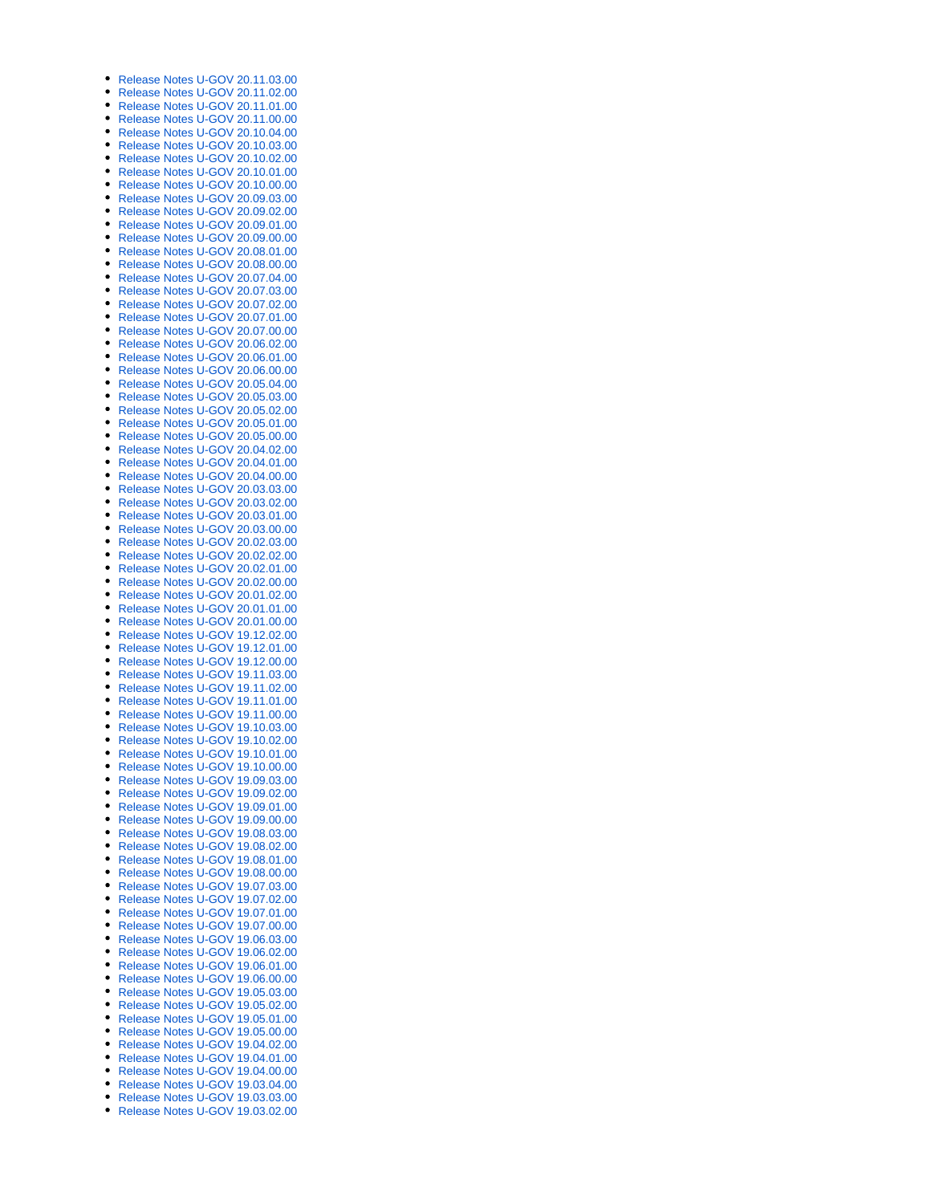- [Release Notes U-GOV 20.11.03.00](https://wiki.u-gov.it/confluence/display/UGOV/Release+Notes+U-GOV+20.11.03.00)
- [Release Notes U-GOV 20.11.02.00](https://wiki.u-gov.it/confluence/display/UGOV/Release+Notes+U-GOV+20.11.02.00)
- [Release Notes U-GOV 20.11.01.00](https://wiki.u-gov.it/confluence/display/UGOV/Release+Notes+U-GOV+20.11.01.00)
- [Release Notes U-GOV 20.11.00.00](https://wiki.u-gov.it/confluence/display/UGOV/Release+Notes+U-GOV+20.11.00.00)
- [Release Notes U-GOV 20.10.04.00](https://wiki.u-gov.it/confluence/display/UGOV/Release+Notes+U-GOV+20.10.04.00)
- [Release Notes U-GOV 20.10.03.00](https://wiki.u-gov.it/confluence/display/UGOV/Release+Notes+U-GOV+20.10.03.00)
- [Release Notes U-GOV 20.10.02.00](https://wiki.u-gov.it/confluence/display/UGOV/Release+Notes+U-GOV+20.10.02.00)  $\bullet$ [Release Notes U-GOV 20.10.01.00](https://wiki.u-gov.it/confluence/display/UGOV/Release+Notes+U-GOV+20.10.01.00)
- [Release Notes U-GOV 20.10.00.00](https://wiki.u-gov.it/confluence/display/UGOV/Release+Notes+U-GOV+20.10.00.00)
- [Release Notes U-GOV 20.09.03.00](https://wiki.u-gov.it/confluence/display/UGOV/Release+Notes+U-GOV+20.09.03.00)
- [Release Notes U-GOV 20.09.02.00](https://wiki.u-gov.it/confluence/display/UGOV/Release+Notes+U-GOV+20.09.02.00)
- [Release Notes U-GOV 20.09.01.00](https://wiki.u-gov.it/confluence/display/UGOV/Release+Notes+U-GOV+20.09.01.00)  $\bullet$
- [Release Notes U-GOV 20.09.00.00](https://wiki.u-gov.it/confluence/display/UGOV/Release+Notes+U-GOV+20.09.00.00)
- [Release Notes U-GOV 20.08.01.00](https://wiki.u-gov.it/confluence/display/UGOV/Release+Notes+U-GOV+20.08.01.00)
- [Release Notes U-GOV 20.08.00.00](https://wiki.u-gov.it/confluence/display/UGOV/Release+Notes+U-GOV+20.08.00.00)
- [Release Notes U-GOV 20.07.04.00](https://wiki.u-gov.it/confluence/display/UGOV/Release+Notes+U-GOV+20.07.04.00)
- [Release Notes U-GOV 20.07.03.00](https://wiki.u-gov.it/confluence/display/UGOV/Release+Notes+U-GOV+20.07.03.00)
- [Release Notes U-GOV 20.07.02.00](https://wiki.u-gov.it/confluence/display/UGOV/Release+Notes+U-GOV+20.07.02.00)
- [Release Notes U-GOV 20.07.01.00](https://wiki.u-gov.it/confluence/display/UGOV/Release+Notes+U-GOV+20.07.01.00)
- [Release Notes U-GOV 20.07.00.00](https://wiki.u-gov.it/confluence/display/UGOV/Release+Notes+U-GOV+20.07.00.00)
- [Release Notes U-GOV 20.06.02.00](https://wiki.u-gov.it/confluence/display/UGOV/Release+Notes+U-GOV+20.06.02.00)  $\bullet$
- [Release Notes U-GOV 20.06.01.00](https://wiki.u-gov.it/confluence/display/UGOV/Release+Notes+U-GOV+20.06.01.00) [Release Notes U-GOV 20.06.00.00](https://wiki.u-gov.it/confluence/display/UGOV/Release+Notes+U-GOV+20.06.00.00)
- [Release Notes U-GOV 20.05.04.00](https://wiki.u-gov.it/confluence/display/UGOV/Release+Notes+U-GOV+20.05.04.00)
- [Release Notes U-GOV 20.05.03.00](https://wiki.u-gov.it/confluence/display/UGOV/Release+Notes+U-GOV+20.05.03.00)
- [Release Notes U-GOV 20.05.02.00](https://wiki.u-gov.it/confluence/display/UGOV/Release+Notes+U-GOV+20.05.02.00)
- [Release Notes U-GOV 20.05.01.00](https://wiki.u-gov.it/confluence/display/UGOV/Release+Notes+U-GOV+20.05.01.00)
- [Release Notes U-GOV 20.05.00.00](https://wiki.u-gov.it/confluence/display/UGOV/Release+Notes+U-GOV+20.05.00.00)
- [Release Notes U-GOV 20.04.02.00](https://wiki.u-gov.it/confluence/display/UGOV/Release+Notes+U-GOV+20.04.02.00)
- [Release Notes U-GOV 20.04.01.00](https://wiki.u-gov.it/confluence/display/UGOV/Release+Notes+U-GOV+20.04.01.00)
- [Release Notes U-GOV 20.04.00.00](https://wiki.u-gov.it/confluence/display/UGOV/Release+Notes+U-GOV+20.04.00.00)
- $\bullet$ [Release Notes U-GOV 20.03.03.00](https://wiki.u-gov.it/confluence/display/UGOV/Release+Notes+U-GOV+20.03.03.00)
- [Release Notes U-GOV 20.03.02.00](https://wiki.u-gov.it/confluence/display/UGOV/Release+Notes+U-GOV+20.03.02.00)
- [Release Notes U-GOV 20.03.01.00](https://wiki.u-gov.it/confluence/display/UGOV/Release+Notes+U-GOV+20.03.01.00)
- [Release Notes U-GOV 20.03.00.00](https://wiki.u-gov.it/confluence/display/UGOV/Release+Notes+U-GOV+20.03.00.00)
- [Release Notes U-GOV 20.02.03.00](https://wiki.u-gov.it/confluence/display/UGOV/Release+Notes+U-GOV+20.02.03.00)
- [Release Notes U-GOV 20.02.02.00](https://wiki.u-gov.it/confluence/display/UGOV/Release+Notes+U-GOV+20.02.02.00)
- [Release Notes U-GOV 20.02.01.00](https://wiki.u-gov.it/confluence/display/UGOV/Release+Notes+U-GOV+20.02.01.00) [Release Notes U-GOV 20.02.00.00](https://wiki.u-gov.it/confluence/display/UGOV/Release+Notes+U-GOV+20.02.00.00)
- [Release Notes U-GOV 20.01.02.00](https://wiki.u-gov.it/confluence/display/UGOV/Release+Notes+U-GOV+20.01.02.00)
- [Release Notes U-GOV 20.01.01.00](https://wiki.u-gov.it/confluence/display/UGOV/Release+Notes+U-GOV+20.01.01.00)
- [Release Notes U-GOV 20.01.00.00](https://wiki.u-gov.it/confluence/display/UGOV/Release+Notes+U-GOV+20.01.00.00)
- [Release Notes U-GOV 19.12.02.00](https://wiki.u-gov.it/confluence/display/UGOV/Release+Notes+U-GOV+19.12.02.00)
- [Release Notes U-GOV 19.12.01.00](https://wiki.u-gov.it/confluence/display/UGOV/Release+Notes+U-GOV+19.12.01.00)
- [Release Notes U-GOV 19.12.00.00](https://wiki.u-gov.it/confluence/display/UGOV/Release+Notes+U-GOV+19.12.00.00)
- $\bullet$ [Release Notes U-GOV 19.11.03.00](https://wiki.u-gov.it/confluence/display/UGOV/Release+Notes+U-GOV+19.11.03.00)
- [Release Notes U-GOV 19.11.02.00](https://wiki.u-gov.it/confluence/display/UGOV/Release+Notes+U-GOV+19.11.02.00)
- [Release Notes U-GOV 19.11.01.00](https://wiki.u-gov.it/confluence/display/UGOV/Release+Notes+U-GOV+19.11.01.00)
- [Release Notes U-GOV 19.11.00.00](https://wiki.u-gov.it/confluence/display/UGOV/Release+Notes+U-GOV+19.11.00.00)
- [Release Notes U-GOV 19.10.03.00](https://wiki.u-gov.it/confluence/display/UGOV/Release+Notes+U-GOV+19.10.03.00)
- [Release Notes U-GOV 19.10.02.00](https://wiki.u-gov.it/confluence/display/UGOV/Release+Notes+U-GOV+19.10.02.00)
- [Release Notes U-GOV 19.10.01.00](https://wiki.u-gov.it/confluence/display/UGOV/Release+Notes+U-GOV+19.10.01.00) [Release Notes U-GOV 19.10.00.00](https://wiki.u-gov.it/confluence/display/UGOV/Release+Notes+U-GOV+19.10.00.00)
- [Release Notes U-GOV 19.09.03.00](https://wiki.u-gov.it/confluence/display/UGOV/Release+Notes+U-GOV+19.09.03.00)
- [Release Notes U-GOV 19.09.02.00](https://wiki.u-gov.it/confluence/display/UGOV/Release+Notes+U-GOV+19.09.02.00)
- [Release Notes U-GOV 19.09.01.00](https://wiki.u-gov.it/confluence/display/UGOV/Release+Notes+U-GOV+19.09.01.00)
- [Release Notes U-GOV 19.09.00.00](https://wiki.u-gov.it/confluence/display/UGOV/Release+Notes+U-GOV+19.09.00.00)
- [Release Notes U-GOV 19.08.03.00](https://wiki.u-gov.it/confluence/display/UGOV/Release+Notes+U-GOV+19.08.03.00)
- [Release Notes U-GOV 19.08.02.00](https://wiki.u-gov.it/confluence/display/UGOV/Release+Notes+U-GOV+19.08.02.00)
- [Release Notes U-GOV 19.08.01.00](https://wiki.u-gov.it/confluence/display/UGOV/Release+Notes+U-GOV+19.08.01.00)
- [Release Notes U-GOV 19.08.00.00](https://wiki.u-gov.it/confluence/display/UGOV/Release+Notes+U-GOV+19.08.00.00)
- [Release Notes U-GOV 19.07.03.00](https://wiki.u-gov.it/confluence/display/UGOV/Release+Notes+U-GOV+19.07.03.00)
- [Release Notes U-GOV 19.07.02.00](https://wiki.u-gov.it/confluence/display/UGOV/Release+Notes+U-GOV+19.07.02.00) [Release Notes U-GOV 19.07.01.00](https://wiki.u-gov.it/confluence/display/UGOV/Release+Notes+U-GOV+19.07.01.00)
- [Release Notes U-GOV 19.07.00.00](https://wiki.u-gov.it/confluence/display/UGOV/Release+Notes+U-GOV+19.07.00.00)
- [Release Notes U-GOV 19.06.03.00](https://wiki.u-gov.it/confluence/display/UGOV/Release+Notes+U-GOV+19.06.03.00)  $\bullet$
- [Release Notes U-GOV 19.06.02.00](https://wiki.u-gov.it/confluence/display/UGOV/Release+Notes+U-GOV+19.06.02.00)
- [Release Notes U-GOV 19.06.01.00](https://wiki.u-gov.it/confluence/display/UGOV/Release+Notes+U-GOV+19.06.01.00)
- [Release Notes U-GOV 19.06.00.00](https://wiki.u-gov.it/confluence/display/UGOV/Release+Notes+U-GOV+19.06.00.00)
- [Release Notes U-GOV 19.05.03.00](https://wiki.u-gov.it/confluence/display/UGOV/Release+Notes+U-GOV+19.05.03.00)
- [Release Notes U-GOV 19.05.02.00](https://wiki.u-gov.it/confluence/display/UGOV/Release+Notes+U-GOV+19.05.02.00)
- [Release Notes U-GOV 19.05.01.00](https://wiki.u-gov.it/confluence/display/UGOV/Release+Notes+U-GOV+19.05.01.00)
- [Release Notes U-GOV 19.05.00.00](https://wiki.u-gov.it/confluence/display/UGOV/Release+Notes+U-GOV+19.05.00.00)
- [Release Notes U-GOV 19.04.02.00](https://wiki.u-gov.it/confluence/display/UGOV/Release+Notes+U-GOV+19.04.02.00)
- [Release Notes U-GOV 19.04.01.00](https://wiki.u-gov.it/confluence/display/UGOV/Release+Notes+U-GOV+19.04.01.00) [Release Notes U-GOV 19.04.00.00](https://wiki.u-gov.it/confluence/display/UGOV/Release+Notes+U-GOV+19.04.00.00)
- [Release Notes U-GOV 19.03.04.00](https://wiki.u-gov.it/confluence/display/UGOV/Release+Notes+U-GOV+19.03.04.00)
- [Release Notes U-GOV 19.03.03.00](https://wiki.u-gov.it/confluence/display/UGOV/Release+Notes+U-GOV+19.03.03.00)
- [Release Notes U-GOV 19.03.02.00](https://wiki.u-gov.it/confluence/display/UGOV/Release+Notes+U-GOV+19.03.02.00)